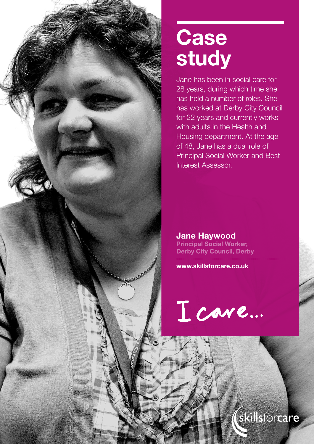

# **Case study**

Jane has been in social care for 28 years, during which time she has held a number of roles. She has worked at Derby City Council for 22 years and currently works with adults in the Health and Housing department. At the age of 48, Jane has a dual role of Principal Social Worker and Best Interest Assessor.

**Jane Haywood**<br>**Principal Social Worker, Derby City Council, Derby** 

**www.skillsforcare.co.uk**

I care...

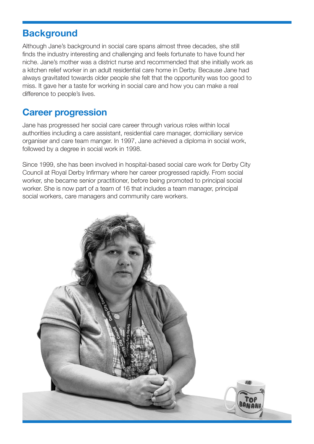#### **Background**

Although Jane's background in social care spans almost three decades, she still finds the industry interesting and challenging and feels fortunate to have found her niche. Jane's mother was a district nurse and recommended that she initially work as a kitchen relief worker in an adult residential care home in Derby. Because Jane had always gravitated towards older people she felt that the opportunity was too good to miss. It gave her a taste for working in social care and how you can make a real difference to people's lives.

# **Career progression**

Jane has progressed her social care career through various roles within local authorities including a care assistant, residential care manager, domiciliary service organiser and care team manger. In 1997, Jane achieved a diploma in social work, followed by a degree in social work in 1998.

Since 1999, she has been involved in hospital-based social care work for Derby City Council at Royal Derby Infirmary where her career progressed rapidly. From social worker, she became senior practitioner, before being promoted to principal social worker. She is now part of a team of 16 that includes a team manager, principal social workers, care managers and community care workers.

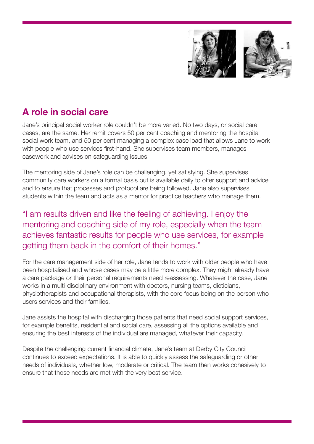

# **A role in social care**

Jane's principal social worker role couldn't be more varied. No two days, or social care cases, are the same. Her remit covers 50 per cent coaching and mentoring the hospital social work team, and 50 per cent managing a complex case load that allows Jane to work with people who use services first-hand. She supervises team members, manages casework and advises on safeguarding issues.

The mentoring side of Jane's role can be challenging, yet satisfying. She supervises community care workers on a formal basis but is available daily to offer support and advice and to ensure that processes and protocol are being followed. Jane also supervises students within the team and acts as a mentor for practice teachers who manage them.

"I am results driven and like the feeling of achieving. I enjoy the mentoring and coaching side of my role, especially when the team achieves fantastic results for people who use services, for example getting them back in the comfort of their homes."

For the care management side of her role, Jane tends to work with older people who have been hospitalised and whose cases may be a little more complex. They might already have a care package or their personal requirements need reassessing. Whatever the case, Jane works in a multi-disciplinary environment with doctors, nursing teams, dieticians, physiotherapists and occupational therapists, with the core focus being on the person who users services and their families.

Jane assists the hospital with discharging those patients that need social support services, for example benefits, residential and social care, assessing all the options available and ensuring the best interests of the individual are managed, whatever their capacity.

Despite the challenging current financial climate, Jane's team at Derby City Council continues to exceed expectations. It is able to quickly assess the safeguarding or other needs of individuals, whether low, moderate or critical. The team then works cohesively to ensure that those needs are met with the very best service.